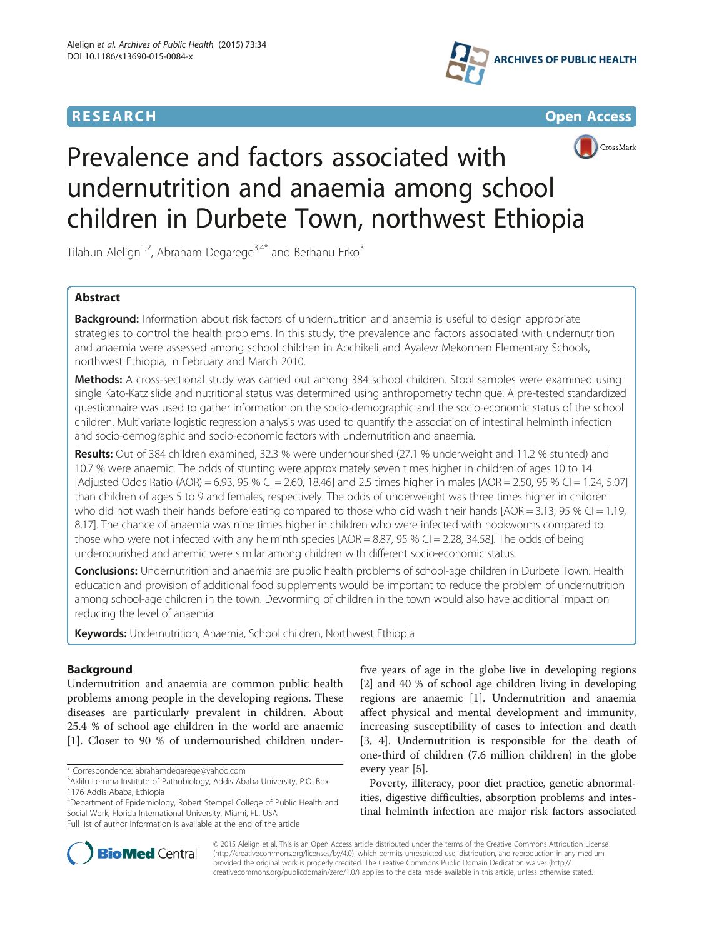







# Prevalence and factors associated with undernutrition and anaemia among school children in Durbete Town, northwest Ethiopia

Tilahun Alelign<sup>1,2</sup>, Abraham Degarege<sup>3,4\*</sup> and Berhanu Erko<sup>3</sup>

# Abstract

Background: Information about risk factors of undernutrition and anaemia is useful to design appropriate strategies to control the health problems. In this study, the prevalence and factors associated with undernutrition and anaemia were assessed among school children in Abchikeli and Ayalew Mekonnen Elementary Schools, northwest Ethiopia, in February and March 2010.

Methods: A cross-sectional study was carried out among 384 school children. Stool samples were examined using single Kato-Katz slide and nutritional status was determined using anthropometry technique. A pre-tested standardized questionnaire was used to gather information on the socio-demographic and the socio-economic status of the school children. Multivariate logistic regression analysis was used to quantify the association of intestinal helminth infection and socio-demographic and socio-economic factors with undernutrition and anaemia.

Results: Out of 384 children examined, 32.3 % were undernourished (27.1 % underweight and 11.2 % stunted) and 10.7 % were anaemic. The odds of stunting were approximately seven times higher in children of ages 10 to 14 [Adjusted Odds Ratio (AOR) = 6.93, 95 % CI = 2.60, 18.46] and 2.5 times higher in males [AOR = 2.50, 95 % CI = 1.24, 5.07] than children of ages 5 to 9 and females, respectively. The odds of underweight was three times higher in children who did not wash their hands before eating compared to those who did wash their hands [AOR = 3.13, 95 % CI = 1.19, 8.17]. The chance of anaemia was nine times higher in children who were infected with hookworms compared to those who were not infected with any helminth species  $[AOR = 8.87, 95 % CI = 2.28, 34.58]$ . The odds of being undernourished and anemic were similar among children with different socio-economic status.

Conclusions: Undernutrition and anaemia are public health problems of school-age children in Durbete Town. Health education and provision of additional food supplements would be important to reduce the problem of undernutrition among school-age children in the town. Deworming of children in the town would also have additional impact on reducing the level of anaemia.

**Keywords:** Undernutrition, Anaemia, School children, Northwest Ethiopia

# Background

Undernutrition and anaemia are common public health problems among people in the developing regions. These diseases are particularly prevalent in children. About 25.4 % of school age children in the world are anaemic [[1\]](#page-5-0). Closer to 90 % of undernourished children under-

4 Department of Epidemiology, Robert Stempel College of Public Health and Social Work, Florida International University, Miami, FL, USA Full list of author information is available at the end of the article

five years of age in the globe live in developing regions [[2\]](#page-5-0) and 40 % of school age children living in developing regions are anaemic [[1](#page-5-0)]. Undernutrition and anaemia affect physical and mental development and immunity, increasing susceptibility of cases to infection and death [[3, 4](#page-5-0)]. Undernutrition is responsible for the death of one-third of children (7.6 million children) in the globe every year [\[5](#page-5-0)].

Poverty, illiteracy, poor diet practice, genetic abnormalities, digestive difficulties, absorption problems and intestinal helminth infection are major risk factors associated



© 2015 Alelign et al. This is an Open Access article distributed under the terms of the Creative Commons Attribution License [\(http://creativecommons.org/licenses/by/4.0\)](http://creativecommons.org/licenses/by/4.0), which permits unrestricted use, distribution, and reproduction in any medium, provided the original work is properly credited. The Creative Commons Public Domain Dedication waiver [\(http://](http://creativecommons.org/publicdomain/zero/1.0/) [creativecommons.org/publicdomain/zero/1.0/\)](http://creativecommons.org/publicdomain/zero/1.0/) applies to the data made available in this article, unless otherwise stated.

<sup>\*</sup> Correspondence: [abrahamdegarege@yahoo.com](mailto:abrahamdegarege@yahoo.com) <sup>3</sup>

<sup>&</sup>lt;sup>3</sup> Aklilu Lemma Institute of Pathobiology, Addis Ababa University, P.O. Box 1176 Addis Ababa, Ethiopia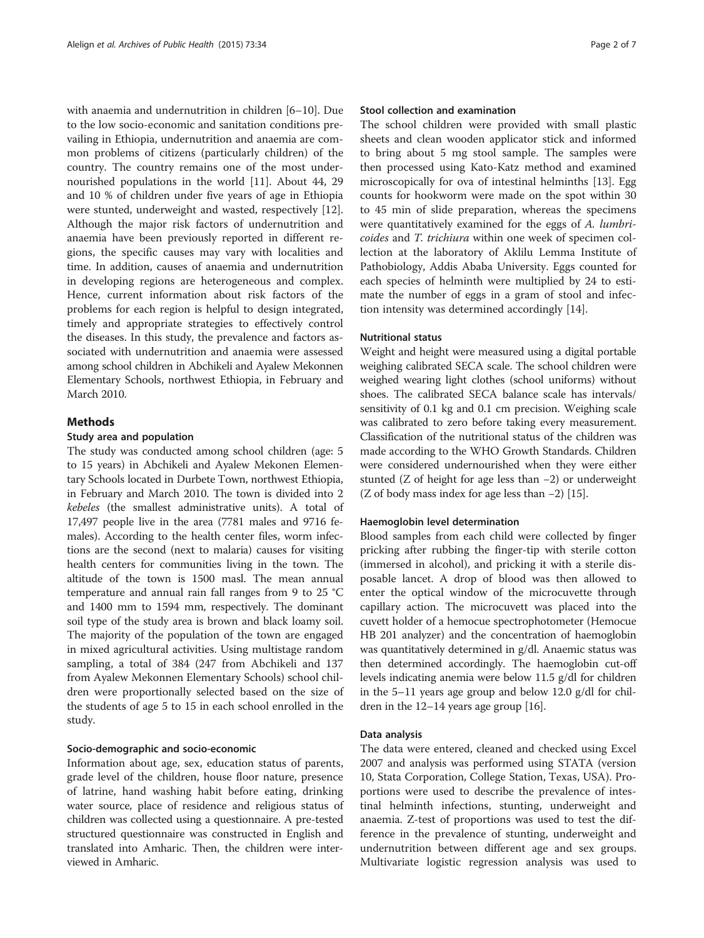with anaemia and undernutrition in children [[6](#page-5-0)–[10\]](#page-5-0). Due to the low socio-economic and sanitation conditions prevailing in Ethiopia, undernutrition and anaemia are common problems of citizens (particularly children) of the country. The country remains one of the most undernourished populations in the world [[11\]](#page-5-0). About 44, 29 and 10 % of children under five years of age in Ethiopia were stunted, underweight and wasted, respectively [\[12](#page-5-0)]. Although the major risk factors of undernutrition and anaemia have been previously reported in different regions, the specific causes may vary with localities and time. In addition, causes of anaemia and undernutrition in developing regions are heterogeneous and complex. Hence, current information about risk factors of the problems for each region is helpful to design integrated, timely and appropriate strategies to effectively control the diseases. In this study, the prevalence and factors associated with undernutrition and anaemia were assessed among school children in Abchikeli and Ayalew Mekonnen Elementary Schools, northwest Ethiopia, in February and March 2010.

## Methods

## Study area and population

The study was conducted among school children (age: 5 to 15 years) in Abchikeli and Ayalew Mekonen Elementary Schools located in Durbete Town, northwest Ethiopia, in February and March 2010. The town is divided into 2 kebeles (the smallest administrative units). A total of 17,497 people live in the area (7781 males and 9716 females). According to the health center files, worm infections are the second (next to malaria) causes for visiting health centers for communities living in the town. The altitude of the town is 1500 masl. The mean annual temperature and annual rain fall ranges from 9 to 25 °C and 1400 mm to 1594 mm, respectively. The dominant soil type of the study area is brown and black loamy soil. The majority of the population of the town are engaged in mixed agricultural activities. Using multistage random sampling, a total of 384 (247 from Abchikeli and 137 from Ayalew Mekonnen Elementary Schools) school children were proportionally selected based on the size of the students of age 5 to 15 in each school enrolled in the study.

#### Socio-demographic and socio-economic

Information about age, sex, education status of parents, grade level of the children, house floor nature, presence of latrine, hand washing habit before eating, drinking water source, place of residence and religious status of children was collected using a questionnaire. A pre-tested structured questionnaire was constructed in English and translated into Amharic. Then, the children were interviewed in Amharic.

#### Stool collection and examination

The school children were provided with small plastic sheets and clean wooden applicator stick and informed to bring about 5 mg stool sample. The samples were then processed using Kato-Katz method and examined microscopically for ova of intestinal helminths [[13\]](#page-5-0). Egg counts for hookworm were made on the spot within 30 to 45 min of slide preparation, whereas the specimens were quantitatively examined for the eggs of A. lumbricoides and T. trichiura within one week of specimen collection at the laboratory of Aklilu Lemma Institute of Pathobiology, Addis Ababa University. Eggs counted for each species of helminth were multiplied by 24 to estimate the number of eggs in a gram of stool and infection intensity was determined accordingly [\[14](#page-5-0)].

## Nutritional status

Weight and height were measured using a digital portable weighing calibrated SECA scale. The school children were weighed wearing light clothes (school uniforms) without shoes. The calibrated SECA balance scale has intervals/ sensitivity of 0.1 kg and 0.1 cm precision. Weighing scale was calibrated to zero before taking every measurement. Classification of the nutritional status of the children was made according to the WHO Growth Standards. Children were considered undernourished when they were either stunted (Z of height for age less than −2) or underweight (Z of body mass index for age less than −2) [\[15\]](#page-5-0).

#### Haemoglobin level determination

Blood samples from each child were collected by finger pricking after rubbing the finger-tip with sterile cotton (immersed in alcohol), and pricking it with a sterile disposable lancet. A drop of blood was then allowed to enter the optical window of the microcuvette through capillary action. The microcuvett was placed into the cuvett holder of a hemocue spectrophotometer (Hemocue HB 201 analyzer) and the concentration of haemoglobin was quantitatively determined in g/dl. Anaemic status was then determined accordingly. The haemoglobin cut-off levels indicating anemia were below 11.5 g/dl for children in the 5–11 years age group and below 12.0 g/dl for children in the 12–14 years age group [\[16\]](#page-5-0).

#### Data analysis

The data were entered, cleaned and checked using Excel 2007 and analysis was performed using STATA (version 10, Stata Corporation, College Station, Texas, USA). Proportions were used to describe the prevalence of intestinal helminth infections, stunting, underweight and anaemia. Z-test of proportions was used to test the difference in the prevalence of stunting, underweight and undernutrition between different age and sex groups. Multivariate logistic regression analysis was used to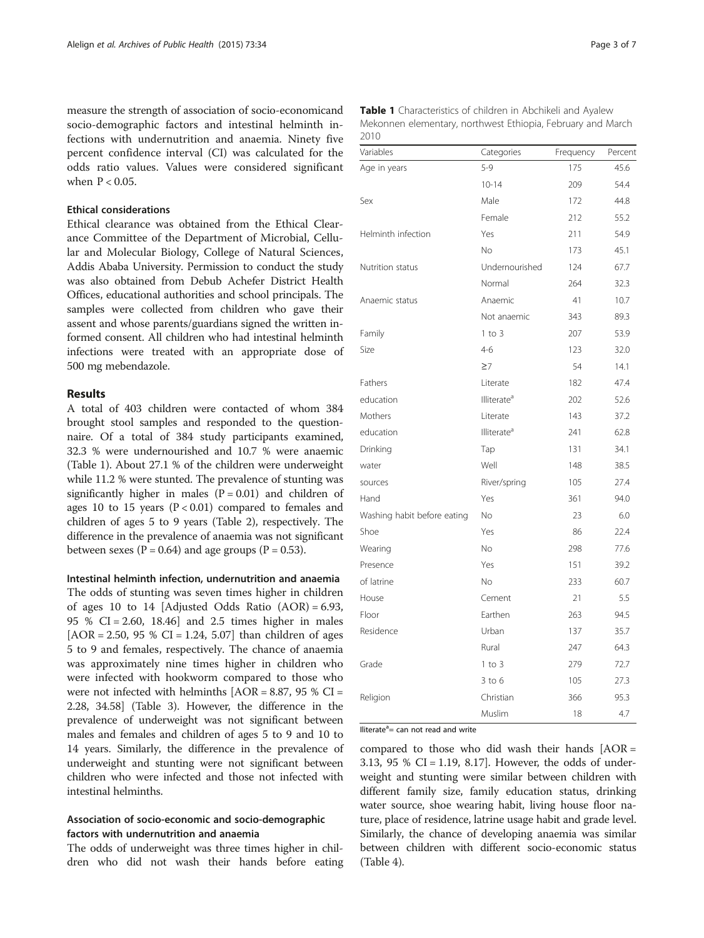measure the strength of association of socio-economicand socio-demographic factors and intestinal helminth infections with undernutrition and anaemia. Ninety five percent confidence interval (CI) was calculated for the odds ratio values. Values were considered significant when P < 0.05.

## Ethical considerations

Ethical clearance was obtained from the Ethical Clearance Committee of the Department of Microbial, Cellular and Molecular Biology, College of Natural Sciences, Addis Ababa University. Permission to conduct the study was also obtained from Debub Achefer District Health Offices, educational authorities and school principals. The samples were collected from children who gave their assent and whose parents/guardians signed the written informed consent. All children who had intestinal helminth infections were treated with an appropriate dose of 500 mg mebendazole.

#### Results

A total of 403 children were contacted of whom 384 brought stool samples and responded to the questionnaire. Of a total of 384 study participants examined, 32.3 % were undernourished and 10.7 % were anaemic (Table 1). About 27.1 % of the children were underweight while 11.2 % were stunted. The prevalence of stunting was significantly higher in males  $(P = 0.01)$  and children of ages 10 to 15 years  $(P < 0.01)$  compared to females and children of ages 5 to 9 years (Table [2](#page-3-0)), respectively. The difference in the prevalence of anaemia was not significant between sexes ( $P = 0.64$ ) and age groups ( $P = 0.53$ ).

#### Intestinal helminth infection, undernutrition and anaemia

The odds of stunting was seven times higher in children of ages 10 to 14 [Adjusted Odds Ratio  $(AOR) = 6.93$ , 95 % CI = 2.60, 18.46] and 2.5 times higher in males  $[AOR = 2.50, 95 % CI = 1.24, 5.07]$  than children of ages 5 to 9 and females, respectively. The chance of anaemia was approximately nine times higher in children who were infected with hookworm compared to those who were not infected with helminths  $[AOR = 8.87, 95 %$  CI = 2.28, 34.58] (Table [3\)](#page-3-0). However, the difference in the prevalence of underweight was not significant between males and females and children of ages 5 to 9 and 10 to 14 years. Similarly, the difference in the prevalence of underweight and stunting were not significant between children who were infected and those not infected with intestinal helminths.

# Association of socio-economic and socio-demographic factors with undernutrition and anaemia

The odds of underweight was three times higher in children who did not wash their hands before eating

| Variables                   | Categories              | Frequency | Percent |
|-----------------------------|-------------------------|-----------|---------|
| Age in years                | $5 - 9$                 | 175       | 45.6    |
|                             | $10 - 14$               | 209       | 54.4    |
| Sex                         | Male                    | 172       | 44.8    |
|                             | Female                  | 212       | 55.2    |
| Helminth infection          | Yes                     | 211       | 54.9    |
|                             | No.                     | 173       | 45.1    |
| Nutrition status            | Undernourished          | 124       | 67.7    |
|                             | Normal                  | 264       | 32.3    |
| Anaemic status              | Anaemic                 | 41        | 10.7    |
|                             | Not anaemic             | 343       | 89.3    |
| Family                      | $1$ to $3$              | 207       | 53.9    |
| Size                        | $4 - 6$                 | 123       | 32.0    |
|                             | $\geq 7$                | 54        | 14.1    |
| Fathers                     | Literate                | 182       | 47.4    |
| education                   | Illiterate <sup>a</sup> | 202       | 52.6    |
| Mothers                     | Literate                | 143       | 37.2    |
| education                   | Illiterate <sup>a</sup> | 241       | 62.8    |
| Drinking                    | Tap                     | 131       | 34.1    |
| water                       | Well                    | 148       | 38.5    |
| sources                     | River/spring            | 105       | 27.4    |
| Hand                        | Yes                     | 361       | 94.0    |
| Washing habit before eating | No                      | 23        | 6.0     |
| Shoe                        | Yes                     | 86        | 22.4    |
| Wearing                     | No                      | 298       | 77.6    |
| Presence                    | Yes                     | 151       | 39.2    |
| of latrine                  | No.                     | 233       | 60.7    |
| House                       | Cement                  | 21        | 5.5     |
| Floor                       | Earthen                 | 263       | 94.5    |
| Residence                   | Urban                   | 137       | 35.7    |
|                             | Rural                   | 247       | 64.3    |
| Grade                       | $1$ to $3$              | 279       | 72.7    |
|                             | $3$ to $6$              | 105       | 27.3    |
| Religion                    | Christian               | 366       | 95.3    |
|                             | Muslim                  | 18        | 4.7     |

Table 1 Characteristics of children in Abchikeli and Ayalew Mekonnen elementary, northwest Ethiopia, February and March 2010

lliterate<sup>a</sup> = can not read and write

compared to those who did wash their hands  $[AOR =$ 3.13, 95 % CI = 1.19, 8.17]. However, the odds of underweight and stunting were similar between children with different family size, family education status, drinking water source, shoe wearing habit, living house floor nature, place of residence, latrine usage habit and grade level. Similarly, the chance of developing anaemia was similar between children with different socio-economic status (Table [4](#page-4-0)).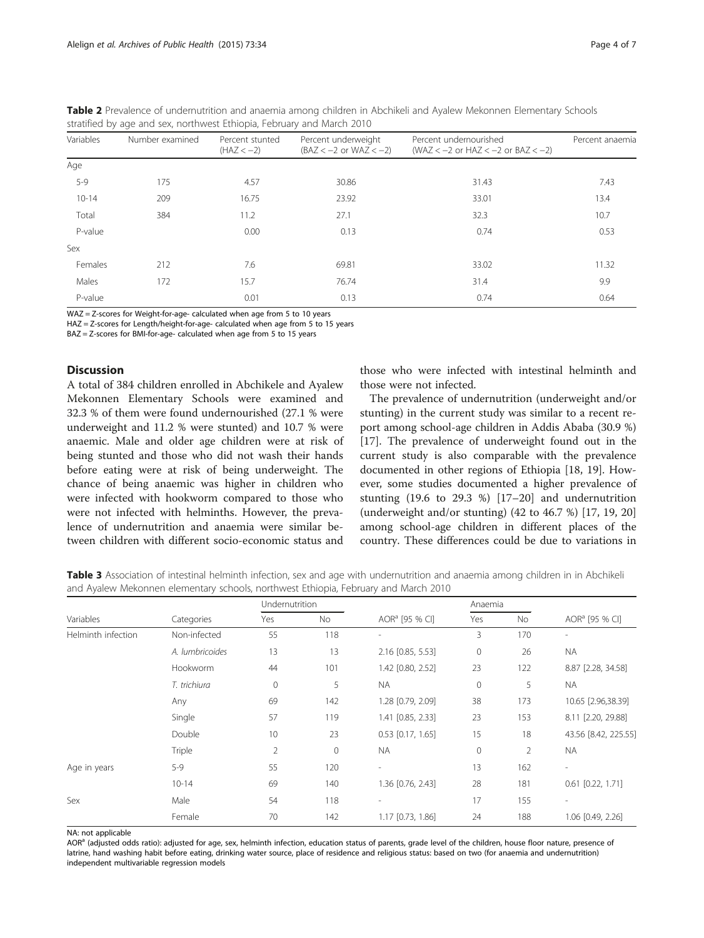| Variables<br>Number examined |     | Percent stunted<br>$(HAZ < -2)$ | Percent underweight<br>$(BAZ < -2$ or $WAZ < -2)$ | Percent undernourished<br>(WAZ $<-2$ or HAZ $<-2$ or BAZ $<-2$ ) | Percent anaemia |  |
|------------------------------|-----|---------------------------------|---------------------------------------------------|------------------------------------------------------------------|-----------------|--|
| Age                          |     |                                 |                                                   |                                                                  |                 |  |
| $5 - 9$                      | 175 | 4.57                            | 30.86                                             | 31.43                                                            |                 |  |
| $10 - 14$                    | 209 | 16.75                           | 23.92                                             | 33.01                                                            | 13.4            |  |
| Total                        | 384 | 11.2                            | 27.1                                              | 32.3                                                             | 10.7            |  |
| P-value                      |     | 0.00                            | 0.13                                              | 0.74                                                             | 0.53            |  |
| Sex                          |     |                                 |                                                   |                                                                  |                 |  |
| Females                      | 212 | 7.6                             | 69.81                                             | 33.02                                                            | 11.32           |  |
| Males                        | 172 | 15.7                            | 76.74                                             | 31.4                                                             | 9.9             |  |
| P-value                      |     | 0.01                            | 0.13                                              | 0.74                                                             | 0.64            |  |

<span id="page-3-0"></span>Table 2 Prevalence of undernutrition and anaemia among children in Abchikeli and Ayalew Mekonnen Elementary Schools stratified by age and sex, northwest Ethiopia, February and March 2010

WAZ = Z-scores for Weight-for-age- calculated when age from 5 to 10 years

HAZ = Z-scores for Length/height-for-age- calculated when age from 5 to 15 years

BAZ = Z-scores for BMI-for-age- calculated when age from 5 to 15 years

## **Discussion**

A total of 384 children enrolled in Abchikele and Ayalew Mekonnen Elementary Schools were examined and 32.3 % of them were found undernourished (27.1 % were underweight and 11.2 % were stunted) and 10.7 % were anaemic. Male and older age children were at risk of being stunted and those who did not wash their hands before eating were at risk of being underweight. The chance of being anaemic was higher in children who were infected with hookworm compared to those who were not infected with helminths. However, the prevalence of undernutrition and anaemia were similar between children with different socio-economic status and

those who were infected with intestinal helminth and those were not infected.

The prevalence of undernutrition (underweight and/or stunting) in the current study was similar to a recent report among school-age children in Addis Ababa (30.9 %) [[17\]](#page-6-0). The prevalence of underweight found out in the current study is also comparable with the prevalence documented in other regions of Ethiopia [\[18](#page-6-0), [19\]](#page-6-0). However, some studies documented a higher prevalence of stunting (19.6 to 29.3 %) [[17](#page-6-0)–[20](#page-6-0)] and undernutrition (underweight and/or stunting) (42 to 46.7 %) [[17](#page-6-0), [19](#page-6-0), [20](#page-6-0)] among school-age children in different places of the country. These differences could be due to variations in

Table 3 Association of intestinal helminth infection, sex and age with undernutrition and anaemia among children in in Abchikeli and Ayalew Mekonnen elementary schools, northwest Ethiopia, February and March 2010

|                    | Categories      | Undernutrition |              |                            | Anaemia             |     |                            |
|--------------------|-----------------|----------------|--------------|----------------------------|---------------------|-----|----------------------------|
| Variables          |                 | Yes            | No           | AOR <sup>a</sup> [95 % CI] | Yes                 | No  | AOR <sup>a</sup> [95 % CI] |
| Helminth infection | Non-infected    | 55             | 118          | $\overline{\phantom{a}}$   | 3                   | 170 | $\sim$                     |
|                    | A. lumbricoides | 13             | 13           | 2.16 [0.85, 5.53]          | $\mathsf{O}\xspace$ | 26  | <b>NA</b>                  |
|                    | Hookworm        | 44             | 101          | 1.42 [0.80, 2.52]          | 23                  | 122 | 8.87 [2.28, 34.58]         |
|                    | T. trichiura    | $\mathbf{0}$   | 5            | <b>NA</b>                  | $\mathbf 0$         | 5   | <b>NA</b>                  |
|                    | Any             | 69             | 142          | 1.28 [0.79, 2.09]          | 38                  | 173 | 10.65 [2.96,38.39]         |
|                    | Single          | 57             | 119          | 1.41 [0.85, 2.33]          | 23                  | 153 | 8.11 [2.20, 29.88]         |
|                    | <b>Double</b>   | 10             | 23           | $0.53$ [0.17, 1.65]        | 15                  | 18  | 43.56 [8.42, 225.55]       |
|                    | Triple          | $\overline{2}$ | $\mathbf{0}$ | <b>NA</b>                  | $\mathbf 0$         | 2   | <b>NA</b>                  |
| Age in years       | $5 - 9$         | 55             | 120          | $\overline{\phantom{a}}$   | 13                  | 162 | $\overline{\phantom{a}}$   |
|                    | $10 - 14$       | 69             | 140          | 1.36 [0.76, 2.43]          | 28                  | 181 | $0.61$ $[0.22, 1.71]$      |
| Sex                | Male            | 54             | 118          | $\overline{a}$             | 17                  | 155 | ٠                          |
|                    | Female          | 70             | 142          | 1.17 [0.73, 1.86]          | 24                  | 188 | 1.06 [0.49, 2.26]          |

NA: not applicable

AOR<sup>a</sup> (adjusted odds ratio): adjusted for age, sex, helminth infection, education status of parents, grade level of the children, house floor nature, presence of latrine, hand washing habit before eating, drinking water source, place of residence and religious status: based on two (for anaemia and undernutrition) independent multivariable regression models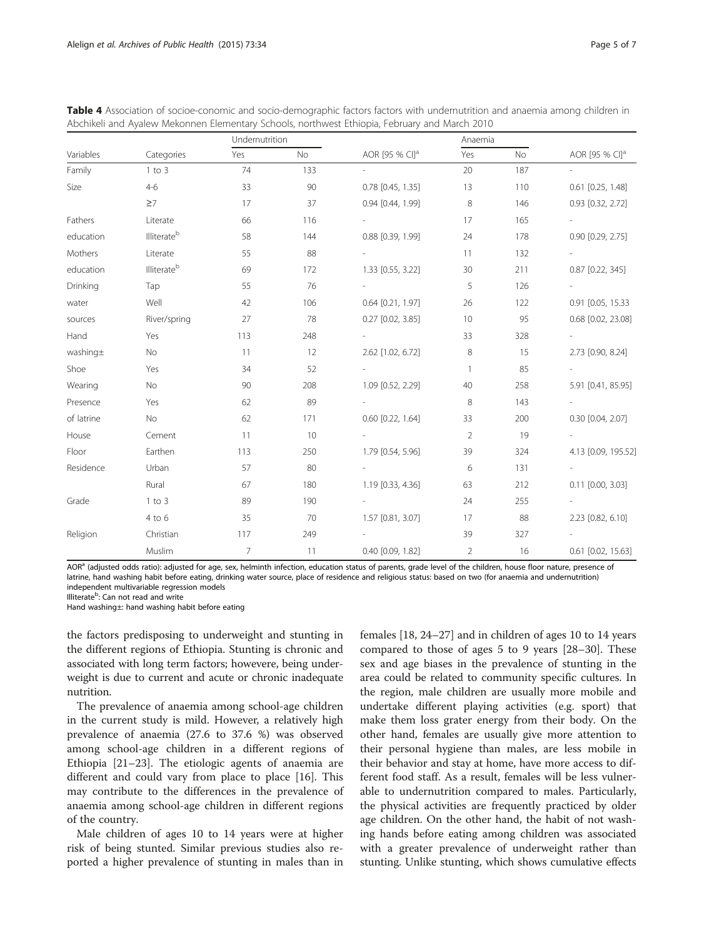|            |                         |                |           | Abchikeli and Ayalew Mekonnen Elementary Schools, northwest Ethiopia, February and March 2010 |                |           |                            |
|------------|-------------------------|----------------|-----------|-----------------------------------------------------------------------------------------------|----------------|-----------|----------------------------|
|            |                         | Undernutrition |           |                                                                                               | Anaemia        |           |                            |
| Variables  | Categories              | Yes            | <b>No</b> | AOR [95 % CI] <sup>a</sup>                                                                    | Yes            | <b>No</b> | AOR [95 % CI] <sup>a</sup> |
| Family     | $1$ to $3$              | 74             | 133       |                                                                                               | 20             | 187       | $\overline{a}$             |
| Size       | $4 - 6$                 | 33             | 90        | $0.78$ $[0.45, 1.35]$                                                                         | 13             | 110       | $0.61$ $[0.25, 1.48]$      |
|            | $\geq 7$                | 17             | 37        | 0.94 [0.44, 1.99]                                                                             | 8              | 146       | 0.93 [0.32, 2.72]          |
| Fathers    | Literate                | 66             | 116       |                                                                                               | 17             | 165       |                            |
| education  | Illiterate <sup>b</sup> | 58             | 144       | 0.88 [0.39, 1.99]                                                                             | 24             | 178       | $0.90$ $[0.29, 2.75]$      |
| Mothers    | Literate                | 55             | 88        |                                                                                               | 11             | 132       |                            |
| education  | Illiterate <sup>b</sup> | 69             | 172       | 1.33 [0.55, 3.22]                                                                             | 30             | 211       | $0.87$ [0.22, 345]         |
| Drinking   | Tap                     | 55             | 76        |                                                                                               | 5              | 126       |                            |
| water      | Well                    | 42             | 106       | $0.64$ $[0.21, 1.97]$                                                                         | 26             | 122       | 0.91 [0.05, 15.33          |
| sources    | River/spring            | 27             | 78        | $0.27$ $[0.02, 3.85]$                                                                         | 10             | 95        | 0.68 [0.02, 23.08]         |
| Hand       | Yes                     | 113            | 248       |                                                                                               | 33             | 328       |                            |
| washing±   | No                      | 11             | 12        | 2.62 [1.02, 6.72]                                                                             | 8              | 15        | 2.73 [0.90, 8.24]          |
| Shoe       | Yes                     | 34             | 52        |                                                                                               | $\mathbf{1}$   | 85        | $\overline{\phantom{0}}$   |
| Wearing    | No                      | 90             | 208       | 1.09 [0.52, 2.29]                                                                             | 40             | 258       | 5.91 [0.41, 85.95]         |
| Presence   | Yes                     | 62             | 89        |                                                                                               | 8              | 143       | $\overline{\phantom{a}}$   |
| of latrine | No                      | 62             | 171       | $0.60$ $[0.22, 1.64]$                                                                         | 33             | 200       | $0.30$ $[0.04, 2.07]$      |
| House      | Cement                  | 11             | 10        |                                                                                               | $\overline{2}$ | 19        |                            |
| Floor      | Earthen                 | 113            | 250       | 1.79 [0.54, 5.96]                                                                             | 39             | 324       | 4.13 [0.09, 195.52]        |
| Residence  | Urban                   | 57             | 80        |                                                                                               | 6              | 131       | $\overline{\phantom{a}}$   |
|            | Rural                   | 67             | 180       | 1.19 [0.33, 4.36]                                                                             | 63             | 212       | $0.11$ $[0.00, 3.03]$      |
| Grade      | $1$ to $3$              | 89             | 190       |                                                                                               | 24             | 255       |                            |
|            | 4 to 6                  | 35             | 70        | 1.57 [0.81, 3.07]                                                                             | 17             | 88        | 2.23 [0.82, 6.10]          |
| Religion   | Christian               | 117            | 249       |                                                                                               | 39             | 327       |                            |
|            | Muslim                  | $\overline{7}$ | 11        | 0.40 [0.09, 1.82]                                                                             | $\overline{2}$ | 16        | $0.61$ $[0.02, 15.63]$     |

<span id="page-4-0"></span>Table 4 Association of socioe-conomic and socio-demographic factors factors with undernutrition and anaemia among children in Abchikeli and Ayalew Mekonnen Elementary Schools, northwest Ethiopia, February and March 2010

AOR<sup>a</sup> (adjusted odds ratio): adjusted for age, sex, helminth infection, education status of parents, grade level of the children, house floor nature, presence of latrine, hand washing habit before eating, drinking water source, place of residence and religious status: based on two (for anaemia and undernutrition) independent multivariable regression models

Illiterate<sup>b</sup>: Can not read and write

Hand washing±: hand washing habit before eating

the factors predisposing to underweight and stunting in the different regions of Ethiopia. Stunting is chronic and associated with long term factors; howevere, being underweight is due to current and acute or chronic inadequate nutrition.

The prevalence of anaemia among school-age children in the current study is mild. However, a relatively high prevalence of anaemia (27.6 to 37.6 %) was observed among school-age children in a different regions of Ethiopia [[21](#page-6-0)–[23](#page-6-0)]. The etiologic agents of anaemia are different and could vary from place to place [\[16\]](#page-5-0). This may contribute to the differences in the prevalence of anaemia among school-age children in different regions of the country.

Male children of ages 10 to 14 years were at higher risk of being stunted. Similar previous studies also reported a higher prevalence of stunting in males than in females [\[18, 24](#page-6-0)–[27](#page-6-0)] and in children of ages 10 to 14 years compared to those of ages 5 to 9 years [\[28](#page-6-0)–[30\]](#page-6-0). These sex and age biases in the prevalence of stunting in the area could be related to community specific cultures. In the region, male children are usually more mobile and undertake different playing activities (e.g. sport) that make them loss grater energy from their body. On the other hand, females are usually give more attention to their personal hygiene than males, are less mobile in their behavior and stay at home, have more access to different food staff. As a result, females will be less vulnerable to undernutrition compared to males. Particularly, the physical activities are frequently practiced by older age children. On the other hand, the habit of not washing hands before eating among children was associated with a greater prevalence of underweight rather than stunting. Unlike stunting, which shows cumulative effects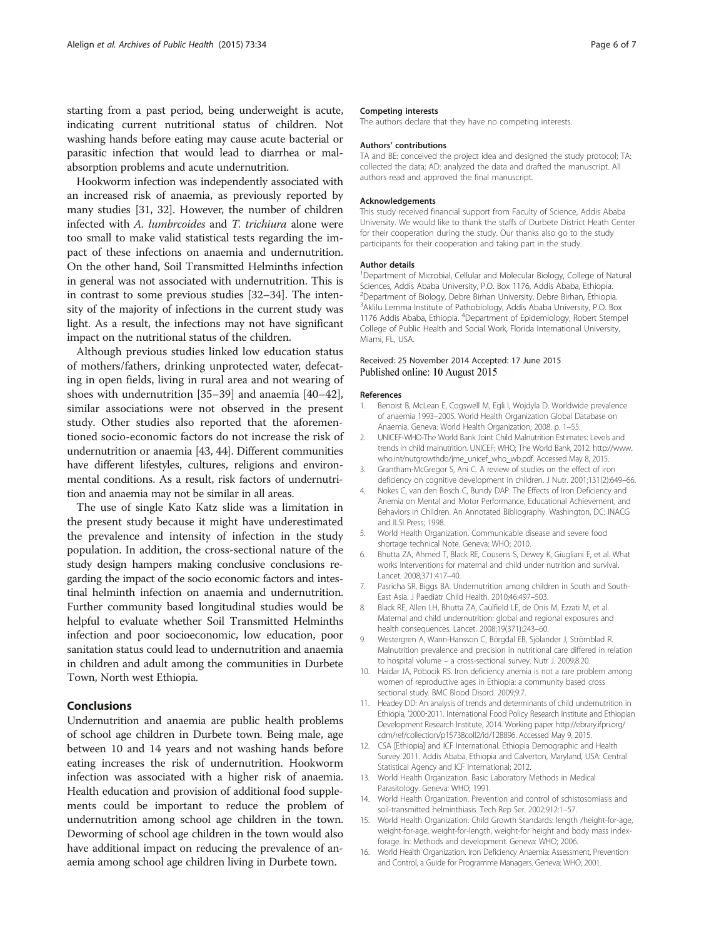<span id="page-5-0"></span>starting from a past period, being underweight is acute, indicating current nutritional status of children. Not washing hands before eating may cause acute bacterial or parasitic infection that would lead to diarrhea or malabsorption problems and acute undernutrition.

Hookworm infection was independently associated with an increased risk of anaemia, as previously reported by many studies [[31](#page-6-0), [32\]](#page-6-0). However, the number of children infected with A. lumbrcoides and T. trichiura alone were too small to make valid statistical tests regarding the impact of these infections on anaemia and undernutrition. On the other hand, Soil Transmitted Helminths infection in general was not associated with undernutrition. This is in contrast to some previous studies [\[32](#page-6-0)–[34](#page-6-0)]. The intensity of the majority of infections in the current study was light. As a result, the infections may not have significant impact on the nutritional status of the children.

Although previous studies linked low education status of mothers/fathers, drinking unprotected water, defecating in open fields, living in rural area and not wearing of shoes with undernutrition [[35](#page-6-0)–[39](#page-6-0)] and anaemia [[40](#page-6-0)–[42](#page-6-0)], similar associations were not observed in the present study. Other studies also reported that the aforementioned socio-economic factors do not increase the risk of undernutrition or anaemia [\[43](#page-6-0), [44](#page-6-0)]. Different communities have different lifestyles, cultures, religions and environmental conditions. As a result, risk factors of undernutrition and anaemia may not be similar in all areas.

The use of single Kato Katz slide was a limitation in the present study because it might have underestimated the prevalence and intensity of infection in the study population. In addition, the cross-sectional nature of the study design hampers making conclusive conclusions regarding the impact of the socio economic factors and intestinal helminth infection on anaemia and undernutrition. Further community based longitudinal studies would be helpful to evaluate whether Soil Transmitted Helminths infection and poor socioeconomic, low education, poor sanitation status could lead to undernutrition and anaemia in children and adult among the communities in Durbete Town, North west Ethiopia.

## Conclusions

Undernutrition and anaemia are public health problems of school age children in Durbete town. Being male, age between 10 and 14 years and not washing hands before eating increases the risk of undernutrition. Hookworm infection was associated with a higher risk of anaemia. Health education and provision of additional food supplements could be important to reduce the problem of undernutrition among school age children in the town. Deworming of school age children in the town would also have additional impact on reducing the prevalence of anaemia among school age children living in Durbete town.

#### Competing interests

The authors declare that they have no competing interests.

#### Authors' contributions

TA and BE: conceived the project idea and designed the study protocol; TA: collected the data; AD: analyzed the data and drafted the manuscript. All authors read and approved the final manuscript.

#### Acknowledgements

This study received financial support from Faculty of Science, Addis Ababa University. We would like to thank the staffs of Durbete District Heath Center for their cooperation during the study. Our thanks also go to the study participants for their cooperation and taking part in the study.

#### Author details

<sup>1</sup>Department of Microbial, Cellular and Molecular Biology, College of Natural Sciences, Addis Ababa University, P.O. Box 1176, Addis Ababa, Ethiopia. <sup>2</sup> Department of Biology, Debre Birhan University, Debre Birhan, Ethiopia. <sup>3</sup> Aklilu Lemma Institute of Pathobiology, Addis Ababa University, P.O. Box 1176 Addis Ababa, Ethiopia. <sup>4</sup> Department of Epidemiology, Robert Stempel College of Public Health and Social Work, Florida International University, Miami, FL, USA.

#### Received: 25 November 2014 Accepted: 17 June 2015 Published online: 10 August 2015

#### References

- 1. Benoist B, McLean E, Cogswell M, Egli I, Wojdyla D. Worldwide prevalence of anaemia 1993–2005. World Health Organization Global Database on Anaemia. Geneva: World Health Organization; 2008. p. 1–55.
- 2. UNICEF-WHO-The World Bank Joint Child Malnutrition Estimates: Levels and trends in child malnutrition. UNICEF; WHO; The World Bank, 2012. [http://www.](http://www.who.int/nutgrowthdb/jme_unicef_who_wb.pdf) [who.int/nutgrowthdb/jme\\_unicef\\_who\\_wb.pdf](http://www.who.int/nutgrowthdb/jme_unicef_who_wb.pdf). Accessed May 8, 2015.
- Grantham-McGregor S, Ani C. A review of studies on the effect of iron deficiency on cognitive development in children. J Nutr. 2001;131(2):649–66.
- 4. Nokes C, van den Bosch C, Bundy DAP. The Effects of Iron Deficiency and Anemia on Mental and Motor Performance, Educational Achievement, and Behaviors in Children. An Annotated Bibliography. Washington, DC: INACG and ILSI Press; 1998.
- 5. World Health Organization. Communicable disease and severe food shortage technical Note. Geneva: WHO; 2010.
- 6. Bhutta ZA, Ahmed T, Black RE, Cousens S, Dewey K, Giugliani E, et al. What works Interventions for maternal and child under nutrition and survival. Lancet. 2008;371:417–40.
- 7. Pasricha SR, Biggs BA. Undernutrition among children in South and South-East Asia. J Paediatr Child Health. 2010;46:497–503.
- 8. Black RE, Allen LH, Bhutta ZA, Caulfield LE, de Onis M, Ezzati M, et al. Maternal and child undernutrition: global and regional exposures and health consequences. Lancet. 2008;19(371):243–60.
- 9. Westergren A, Wann-Hansson C, Börgdal EB, Sjölander J, Strömblad R. Malnutrition prevalence and precision in nutritional care differed in relation to hospital volume – a cross-sectional survey. Nutr J. 2009;8:20.
- 10. Haidar JA, Pobocik RS. Iron deficiency anemia is not a rare problem among women of reproductive ages in Ethiopia: a community based cross sectional study. BMC Blood Disord. 2009;9:7.
- 11. Headey DD: An analysis of trends and determinants of child undernutrition in Ethiopia, '2000‐2011. International Food Policy Research Institute and Ethiopian Development Research Institute, 2014. Working paper [http://ebrary.ifpri.org/](http://ebrary.ifpri.org/cdm/ref/collection/p15738coll2/id/128896) [cdm/ref/collection/p15738coll2/id/128896](http://ebrary.ifpri.org/cdm/ref/collection/p15738coll2/id/128896). Accessed May 9, 2015.
- 12. CSA [Ethiopia] and ICF International. Ethiopia Demographic and Health Survey 2011. Addis Ababa, Ethiopia and Calverton, Maryland, USA: Central Statistical Agency and ICF International; 2012.
- 13. World Health Organization. Basic Laboratory Methods in Medical Parasitology. Geneva: WHO; 1991.
- 14. World Health Organization. Prevention and control of schistosomiasis and soil-transmitted helminthiasis. Tech Rep Ser. 2002;912:1–57.
- 15. World Health Organization. Child Growth Standards: length /height-for-age, weight-for-age, weight-for-length, weight-for height and body mass indexforage. In: Methods and development. Geneva: WHO; 2006.
- 16. World Health Organization. Iron Deficiency Anaemia: Assessment, Prevention and Control, a Guide for Programme Managers. Geneva: WHO; 2001.